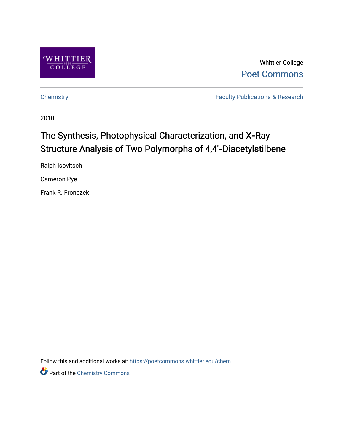

Whittier College [Poet Commons](https://poetcommons.whittier.edu/) 

[Chemistry](https://poetcommons.whittier.edu/chem) **Faculty Publications & Research** 

2010

# The Synthesis, Photophysical Characterization, and X-Ray Structure Analysis of Two Polymorphs of 4,4'-Diacetylstilbene

Ralph Isovitsch

Cameron Pye

Frank R. Fronczek

Follow this and additional works at: [https://poetcommons.whittier.edu/chem](https://poetcommons.whittier.edu/chem?utm_source=poetcommons.whittier.edu%2Fchem%2F12&utm_medium=PDF&utm_campaign=PDFCoverPages)

Part of the [Chemistry Commons](http://network.bepress.com/hgg/discipline/131?utm_source=poetcommons.whittier.edu%2Fchem%2F12&utm_medium=PDF&utm_campaign=PDFCoverPages)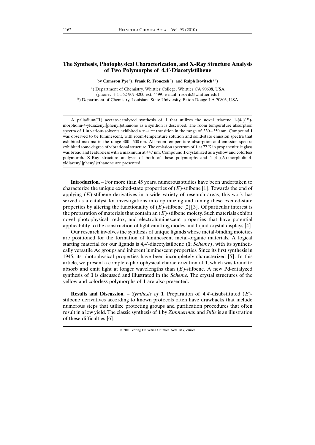# The Synthesis, Photophysical Characterization, and X-Ray Structure Analysis of Two Polymorphs of 4,4'-Diacetylstilbene

by Cameron Pye<sup>a</sup>), Frank R. Fronczek<sup>b</sup>), and Ralph Isovitsch<sup>\*a</sup>)

a) Department of Chemistry, Whittier College, Whittier CA 90608, USA (phone: +1-562-907-4200 ext. 4499; e-mail: risovits@whittier.edu) b) Department of Chemistry, Louisiana State University, Baton Rouge LA 70803, USA

A palladium(II) acetate-catalyzed synthesis of 1 that utilizes the novel triazene 1- $\{4\}$  (E)morpholin-4-yldiazenyl]phenyl}ethanone as a synthon is described. The room temperature absorption spectra of 1 in various solvents exhibited a  $\pi \rightarrow \pi^*$  transition in the range of 330–350 nm. Compound 1 was observed to be luminescent, with room-temperature solution and solid-state emission spectra that exhibited maxima in the range 400 – 500 nm. All room-temperature absorption and emission spectra exhibited some degree of vibrational structure. The emission spectrum of 1 at 77 K in propanenitrile glass was broad and featureless with a maximum at 447 nm. Compound 1 crystallized as a yellow and colorless polymorph. X-Ray structure analyses of both of these polymorphs and  $1-\{4-\lceil(E)\rceil\}$ -morpholin-4yldiazenyl]phenyl}ethanone are presented.

Introduction. – For more than 45 years, numerous studies have been undertaken to characterize the unique excited-state properties of  $(E)$ -stilbene [1]. Towards the end of applying  $(E)$ -stilbene derivatives in a wide variety of research areas, this work has served as a catalyst for investigations into optimizing and tuning these excited-state properties by altering the functionality of  $(E)$ -stilbene [2] [3]. Of particular interest is the preparation of materials that contain an  $(E)$ -stilbene moiety. Such materials exhibit novel photophysical, redox, and electroluminescent properties that have potential applicability to the construction of light-emitting diodes and liquid-crystal displays [4].

Our research involves the synthesis of unique ligands whose metal-binding moieties are positioned for the formation of luminescent metal-organic materials. A logical starting material for our ligands is  $4,4'$ -diacetylstilbene  $(1; Scheme)$ , with its synthetically versatile Ac groups and inherent luminescent properties. Since its first synthesis in 1945, its photophysical properties have been incompletely characterized [5]. In this article, we present a complete photophysical characterization of 1, which was found to absorb and emit light at longer wavelengths than  $(E)$ -stilbene. A new Pd-catalyzed synthesis of 1 is discussed and illustrated in the *Scheme*. The crystal structures of the yellow and colorless polymorphs of 1 are also presented.

**Results and Discussion.** – Synthesis of 1. Preparation of 4,4'-disubstituted  $(E)$ stilbene derivatives according to known protocols often have drawbacks that include numerous steps that utilize protecting groups and purification procedures that often result in a low yield. The classic synthesis of 1 by Zimmerman and Stille is an illustration of these difficulties [6].

<sup>© 2010</sup> Verlag Helvetica Chimica Acta AG, Zürich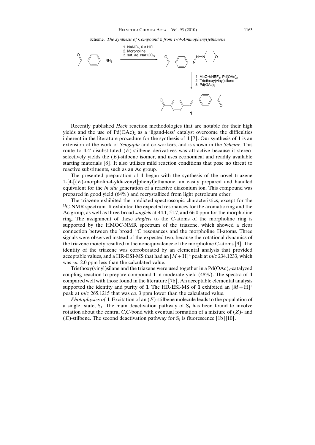Scheme. The Synthesis of Compound 1 from 1-(4-Aminophenyl)ethanone



Recently published Heck reaction methodologies that are notable for their high yields and the use of  $Pd(OAc)$ , as a 'ligand-less' catalyst overcome the difficulties inherent in the literature procedure for the synthesis of  $1\,$ [7]. Our synthesis of  $1\,$  is an extension of the work of Sengupta and co-workers, and is shown in the Scheme. This route to 4,4'-disubstituted  $(E)$ -stilbene derivatives was attractive because it stereoselectively yields the  $(E)$ -stilbene isomer, and uses economical and readily available starting materials [8]. It also utilizes mild reaction conditions that pose no threat to reactive substituents, such as an Ac group.

The presented preparation of 1 began with the synthesis of the novel triazene  $1-\{4-\lceil(E)$ -morpholin-4-yldiazenyl]phenyl}ethanone, an easily prepared and handled equivalent for the *in situ* generation of a reactive diazonium ion. This compound was prepared in good yield (64%) and recrystallized from light petroleum ether.

The triazene exhibited the predicted spectroscopic characteristics, except for the <sup>13</sup>C-NMR spectrum. It exhibited the expected resonances for the aromatic ring and the Ac group, as well as three broad singlets at 44.1, 51.7, and 66.0 ppm for the morpholine ring. The assignment of these singlets to the C-atoms of the morpholine ring is supported by the HMQC-NMR spectrum of the triazene, which showed a clear connection between the broad 13C resonances and the morpholine H-atoms. Three signals were observed instead of the expected two, because the rotational dynamics of the triazene moiety resulted in the nonequivalence of the morpholine C-atoms [9]. The identity of the triazene was corroborated by an elemental analysis that provided acceptable values, and a HR-ESI-MS that had an  $[M + H]$ <sup>+</sup> peak at  $m/z$  234.1233, which was ca. 2.0 ppm less than the calculated value.

Triethoxy(vinyl)silane and the triazene were used together in a  $Pd(OAc)_2$ -catalyzed coupling reaction to prepare compound 1 in moderate yield (48%). The spectra of 1 compared well with those found in the literature [7b]. An acceptable elemental analysis supported the identity and purity of 1. The HR-ESI-MS of 1 exhibited an  $[M+H]^+$ peak at m/z 265.1215 that was ca. 3 ppm lower than the calculated value.

*Photophysics of* 1. Excitation of an  $(E)$ -stilbene molecule leads to the population of a singlet state,  $S_1$ . The main deactivation pathway of  $S_1$  has been found to involve rotation about the central C,C-bond with eventual formation of a mixture of  $(Z)$ - and  $(E)$ -stilbene. The second deactivation pathway for  $S<sub>1</sub>$  is fluorescence [1b] [10].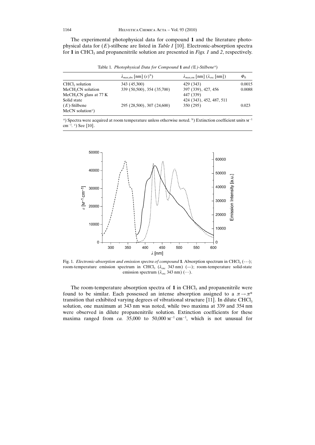The experimental photophysical data for compound 1 and the literature photophysical data for  $(E)$ -stilbene are listed in *Table 1* [10]. Electronic-absorption spectra for 1 in CHCl<sub>3</sub> and propanenitrile solution are presented in Figs. 1 and 2, respectively.

Table 1. Photophysical Data for Compound 1 and (E)-Stilbene<sup>a</sup>)

|                                      | $\lambda_{\text{max,abs}}$ [nm] $(\varepsilon)^b$ ) | $\lambda_{\text{max,em}}$ [nm] $(\lambda_{\text{exc}}$ [nm]) | $\Phi_{\rm fl}$ |
|--------------------------------------|-----------------------------------------------------|--------------------------------------------------------------|-----------------|
| $CHCl3$ solution                     | 343 (45,300)                                        | 429 (343)                                                    | 0.0015          |
| MeCH <sub>2</sub> CN solution        | 339 (50,500), 354 (35,700)                          | 397 (339), 427, 456                                          | 0.0088          |
| MeCH <sub>2</sub> CN glass at $77 K$ |                                                     | 447 (339)                                                    |                 |
| Solid state                          |                                                     | 424 (343), 452, 487, 511                                     |                 |
| $(E)$ -Stilbene                      | 295 (28,500), 307 (24,600)                          | 350 (295)                                                    | 0.023           |
| $MeCN$ solution <sup>c</sup> )       |                                                     |                                                              |                 |

<sup>a</sup>) Spectra were acquired at room temperature unless otherwise noted. <sup>b</sup>) Extinction coefficient units  $M^{-1}$ cm<sup>-1</sup>. <sup>c</sup>) See [10].



Fig. 1. Electronic-absorption and emission spectra of compound 1. Absorption spectrum in CHCl<sub>3</sub> (---); room-temperature emission spectrum in CHCl<sub>3</sub> ( $\lambda_{\text{exc}}$  343 nm) (-); room-temperature solid-state emission spectrum  $(\lambda_{\text{exc}} 343 \text{ nm})$  (…).

The room-temperature absorption spectra of  $1$  in CHCl<sub>3</sub> and propanenitrile were found to be similar. Each possessed an intense absorption assigned to a  $\pi \rightarrow \pi^*$ transition that exhibited varying degrees of vibrational structure [11]. In dilute CHCl<sub>3</sub> solution, one maximum at 343 nm was noted, while two maxima at 339 and 354 nm were observed in dilute propanenitrile solution. Extinction coefficients for these maxima ranged from ca. 35,000 to  $50,000 \text{ m}^{-1} \text{ cm}^{-1}$ , which is not unusual for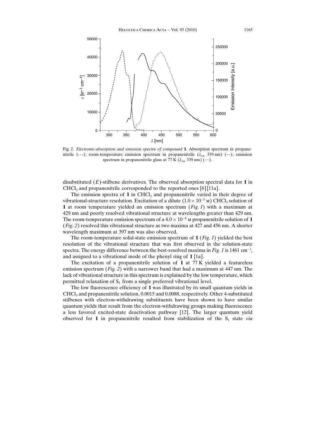

Fig. 2. Electronic-absorption and emission spectra of compound 1. Absorption spectrum in propanenitrile (---); room-temperature emission spectrum in propanenitrile  $(\lambda_{\alpha c}$  339 nm) (-); emission spectrum in propanenitrile glass at 77 K ( $\lambda_{\rm exc}$  339 nm) ( $\cdots$ ).

disubstituted  $(E)$ -stilbene derivatives. The observed absorption spectral data for 1 in CHCl<sub>3</sub> and propanenitrile corresponded to the reported ones [6] [11a].

The emission spectra of  $1$  in CHCl<sub>3</sub> and propanenitrile varied in their degree of vibrational-structure resolution. Excitation of a dilute  $(1.0 \times 10^{-5} \text{ m})$  CHCl<sub>3</sub> solution of 1 at room temperature yielded an emission spectrum  $(Fig. 1)$  with a maximum at 429 nm and poorly resolved vibrational structure at wavelengths greater than 429 nm. The room-temperature emission spectrum of a  $4.0 \times 10^{-6}$  M propanenitrile solution of 1 (Fig. 2) resolved this vibrational structure as two maxima at 427 and 456 nm. A shorter wavelength maximum at 397 nm was also observed.

The room-temperature solid-state emission spectrum of  $1$  (*Fig. 1*) yielded the best resolution of the vibrational structure that was first observed in the solution-state spectra. The energy difference between the best-resolved maxima in Fig. 1 is 1461 cm $^{-1}$ , and assigned to a vibrational mode of the phenyl ring of 1 [1a].

The excitation of a propanenitrile solution of 1 at 77 K yielded a featureless emission spectrum (Fig. 2) with a narrower band that had a maximum at  $447$  nm. The lack of vibrational structure in this spectrum is explained by the low temperature, which permitted relaxation of  $S_1$  from a single preferred vibrational level.

The low fluorescence efficiency of 1 was illustrated by its small quantum yields in  $CHCl<sub>3</sub>$  and propanenitrile solution, 0.0015 and 0.0088, respectively. Other 4-substituted stilbenes with electron-withdrawing substituents have been shown to have similar quantum yields that result from the electron-withdrawing groups making fluorescence a less favored excited-state deactivation pathway [12]. The larger quantum yield observed for 1 in propanenitrile resulted from stabilization of the  $S_1$  state via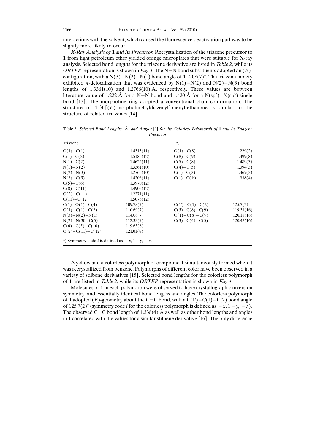interactions with the solvent, which caused the fluorescence deactivation pathway to be slightly more likely to occur.

X-Ray Analysis of 1 and Its Precursor. Recrystallization of the triazene precursor to 1 from light petroleum ether yielded orange microplates that were suitable for X-ray analysis. Selected bond lengths for the triazene derivative are listed in *Table 2*, while its ORTEP representation is shown in Fig. 3. The N=N bond substituents adopted an  $(E)$ configuration, with a  $N(3)-N(2)-N(1)$  bond angle of  $114.08(7)^\circ$ . The triazene moiety exhibited  $\pi$ -delocalization that was evidenced by N(1)–N(2) and N(2)–N(3) bond lengths of  $1.3361(10)$  and  $1.2766(10)$  Å, respectively. These values are between literature value of 1.222 Å for a N=N bond and 1.420 Å for a  $N(sp^2) - N(sp^3)$  single bond [13]. The morpholine ring adopted a conventional chair conformation. The structure of  $1-\{4-[E\}$ -morpholin-4-yldiazenyl]phenyl}ethanone is similar to the structure of related triazenes [14].

Table 2. Selected Bond Lengths  $[\hat{A}]$  and Angles  $[\hat{B}]$  for the Colorless Polymorph of 1 and Its Triazene Precursor

| Triazene                                                                  |            | $1^a)$                 |            |
|---------------------------------------------------------------------------|------------|------------------------|------------|
| $O(1) - C(1)$                                                             | 1.4315(11) | $O(1) - C(8)$          | 1.229(2)   |
| $C(1)-C(2)$                                                               | 1.5186(12) | $C(8)-C(9)$            | 1.499(8)   |
| $N(1)-C(2)$                                                               | 1.4622(11) | $C(5)-C(8)$            | 1.489(3)   |
| $N(1) - N(2)$                                                             | 1.3361(10) | $C(4)-C(5)$            | 1.394(3)   |
| $N(2)-N(3)$                                                               | 1.2766(10) | $C(1)-C(2)$            | 1.467(3)   |
| $N(3)-C(5)$                                                               | 1.4206(11) | $C(1)-C(1^i)$          | 1.338(4)   |
| $C(5)-C(6)$                                                               | 1.3970(12) |                        |            |
| $C(8)-C(11)$                                                              | 1.4905(12) |                        |            |
| $O(2) - C(11)$                                                            | 1.2271(11) |                        |            |
| $C(11)-C(12)$                                                             | 1.5076(12) |                        |            |
| $C(1)-O(1)-C(4)$                                                          | 109.78(7)  | $C(1^i) - C(1) - C(2)$ | 125.7(2)   |
| $O(1) - C(1) - C(2)$                                                      | 110.69(7)  | $C(5)-C(8)-C(9)$       | 119.31(16) |
| $N(3)-N(2)-N(1)$                                                          | 114.08(7)  | $O(1)-C(8)-C(9)$       | 120.18(18) |
| $N(2)-N(30-C(5))$                                                         | 112.33(7)  | $C(3)-C(4)-C(5)$       | 120.43(16) |
| $C(6)-C(5)-C(10)$                                                         | 119.65(8)  |                        |            |
| $O(2)-C(11)-C(12)$                                                        | 121.01(8)  |                        |            |
| <sup>a</sup> ) Symmetry code <i>i</i> is defined as $-x$ , $1-y$ , $-z$ . |            |                        |            |

A yellow and a colorless polymorph of compound 1 simultaneously formed when it was recrystallized from benzene. Polymorphs of different color have been observed in a variety of stilbene derivatives [15]. Selected bond lengths for the colorless polymorph of 1 are listed in Table 2, while its ORTEP representation is shown in Fig. 4.

Molecules of 1 in each polymorph were observed to have crystallographic inversion symmetry, and essentially identical bond lengths and angles. The colorless polymorph of 1 adopted (E)-geometry about the C=C bond, with a  $C(1<sup>i</sup>)-C(1)-C(2)$  bond angle of 125.7(2)° (symmetry code *i* for the colorless polymorph is defined as  $-x$ ,  $1-y$ ,  $-z$ ). The observed C=C bond length of 1.338(4)  $\AA$  as well as other bond lengths and angles in 1 correlated with the values for a similar stilbene derivative [16]. The only difference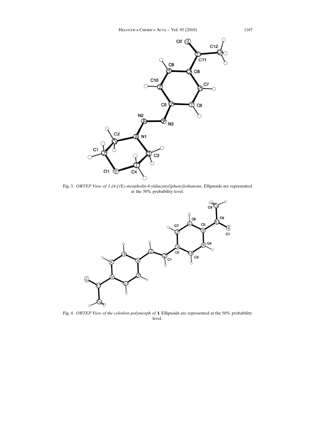

Fig. 3. ORTEP View of 1-{4-[(E)-morpholin-4-yldiazenyl]phenyl}ethanone. Ellipsoids are represented at the 50% probability level.



Fig. 4. ORTEP View of the colorless polymorph of 1. Ellipsoids are represented at the 50% probability level.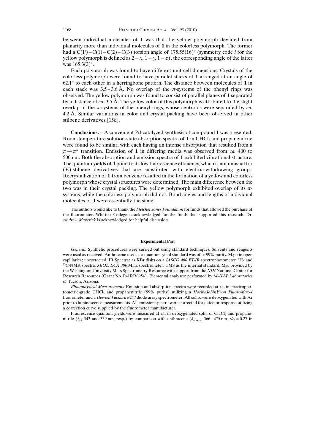between individual molecules of 1 was that the yellow polymorph deviated from planarity more than individual molecules of 1 in the colorless polymorph. The former had a  $C(1^i) - C(1) - C(2) - C(3)$  torsion angle of 175.55(16)° (symmetry code *i* for the yellow polymorph is defined as  $2 - x$ ,  $1 - y$ ,  $1 - z$ ), the corresponding angle of the latter was  $165.3(2)$ °.

Each polymorph was found to have different unit-cell dimensions. Crystals of the colorless polymorph were found to have parallel stacks of 1 arranged at an angle of  $62.1^\circ$  to each other in a herringbone pattern. The distance between molecules of 1 in each stack was  $3.5 - 3.6$  Å. No overlap of the  $\pi$ -systems of the phenyl rings was observed. The yellow polymorph was found to consist of parallel planes of 1 separated by a distance of ca. 3.5 Å. The yellow color of this polymorph is attributed to the slight overlap of the  $\pi$ -systems of the phenyl rings, whose centroids were separated by *ca*. 4.2  $\AA$ . Similar variations in color and crystal packing have been observed in other stilbene derivatives [15d].

Conclusions. – A convenient Pd-catalyzed synthesis of compound 1 was presented. Room-temperature solution-state absorption spectra of  $1$  in CHCl<sub>3</sub> and propanenitrile were found to be similar, with each having an intense absorption that resulted from a  $\pi \rightarrow \pi^*$  transition. Emission of 1 in differing media was observed from ca. 400 to 500 nm. Both the absorption and emission spectra of 1 exhibited vibrational structure. The quantum yields of 1 point to its low fluorescence efficiency, which is not unusual for  $(E)$ -stilbene derivatives that are substituted with electron-withdrawing groups. Recrystallization of 1 from benzene resulted in the formation of a yellow and colorless polymorph whose crystal structures were determined. The main difference between the two was in their crystal packing. The yellow polymorph exhibited overlap of its  $\pi$ systems, while the colorless polymorph did not. Bond angles and lengths of individual molecules of 1 were essentially the same.

The authors would like to thank the Fletcher Jones Foundation for funds that allowed the purchase of the fluorometer. Whittier College is acknowledged for the funds that supported this research. Dr. Andrew Maverick is acknowledged for helpful discussion.

### Experimental Part

General. Synthetic procedures were carried out using standard techniques. Solvents and reagents were used as received. Anthracene used as a quantum-yield standard was of > 99% purity. M.p.: in open capillaries; uncorrected. IR Spectra: as KBr disks on a *JASCO 460 FT-IR* spectrophotometer. <sup>1</sup>H- and  $13C-NMR$  spectra: JEOL ECX 300 MHz spectrometer; TMS as the internal standard. MS: provided by the Washington University Mass Spectrometry Resource with support from the NIH National Center for Research Resources (Grant No. P41RR0954). Elemental analyses: performed by M-H-W Laboratories of Tucson, Arizona.

Photophysical Measurements. Emission and absorption spectra were recorded at r.t. in spectrophotometric-grade CHCl<sub>3</sub> and propanenitrile (99% purity) utilizing a *HoribaJobinYvon FluoroMax-4* fluorometer and a Hewlett Packard 8453 diode array spectrometer. All solns. were deoxygenated with Ar prior to luminescence measurements. All emission spectra were corrected for detector response utilizing a correction curve supplied by the fluorometer manufacturer.

Fluorescence quantum yields were measured at r.t. in deoxygenated soln. of CHCl<sub>3</sub> and propanenitrile ( $\lambda_{\text{ex}}$  343 and 339 nm, resp.) by comparison with anthracene ( $\lambda_{\text{max,em}}$  366–475 nm;  $\Phi_{\text{fl}} = 0.27$  in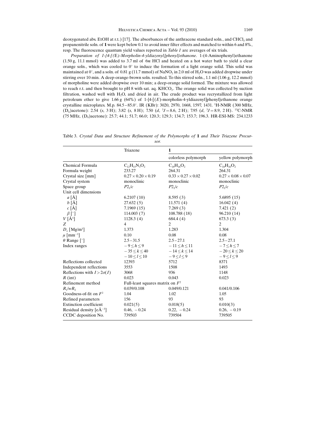deoxygenated abs. EtOH at r.t.) [17]. The absorbances of the anthracene standard soln., and CHCl<sub>3</sub> and propanenitrile soln. of 1 were kept below 0.1 to avoid inner filter effects and matched to within 6 and 8%, resp. The fluorescence quantum yield values reported in Table 1 are averages of six trials.

Preparation of 1-{4-[(E)-Morpholin-4-yldiazenyl]phenyl}ethanone. 1-(4-Aminophenyl)ethanone (1.50 g, 11.1 mmol) was added to 3.7 ml of 6m HCl and heated on a hot water bath to yield a clear orange soln., which was cooled to  $0^{\circ}$  to induce the formation of a light orange solid. This solid was maintained at  $0^\circ$ , and a soln. of 0.81 g (11.7 mmol) of NaNO<sub>2</sub> in 2.0 ml of H<sub>2</sub>O was added dropwise under stirring over 10 min. A deep-orange-brown soln. resulted. To this stirred soln., 1.1 ml (1.06 g, 12.2 mmol) of morpholine were added dropwise over 10 min; a deep-orange solid formed. The mixture was allowed to reach r.t. and then brought to pH 8 with sat. aq.  $KHCO<sub>3</sub>$ . The orange solid was collected by suction filtration, washed well with H<sub>2</sub>O, and dried in air. The crude product was recrystallized from light petroleum ether to give 1.66 g (64%) of 1- $\frac{4}{5}$  (E)-morpholin-4-yldiazenyl]phenyl}ethanone orange crystalline microplates. M.p. 84.5–85.0°. IR (KBr): 3020, 2970, 1668, 1597, 1431. <sup>1</sup>H-NMR (300 MHz,  $(D_6)$ acetone): 2.54 (s, 3 H); 3.82 (s, 8 H); 7.50 (d,  $\frac{3J}{8.8}$  = 8.6, 2 H); 7.95 (d,  $\frac{3J}{8.8}$  = 8.9, 2 H). <sup>13</sup>C-NMR (75 MHz, (D<sub>6</sub>)acetone): 25.7; 44.1; 51.7; 66.0; 120.3; 129.3; 134.7; 153.7; 196.3. HR-ESI-MS: 234.1233

Table 3. Crystal Data and Structure Refinement of the Polymorphs of 1 and Their Triazene Precursor.

|                                   | Triazene                           | $\mathbf{1}$                   |                                |  |
|-----------------------------------|------------------------------------|--------------------------------|--------------------------------|--|
|                                   |                                    | colorless polymorph            | yellow polymorph               |  |
| Chemical Formula                  | $C_{12}H_{15}N_3O_2$               | $C_{18}H_{16}O_2$              | $C_{18}H_{16}O_2$              |  |
| Formula weight                    | 233.27                             | 264.31                         | 264.31                         |  |
| Crystal size [mm]                 | $0.27 \times 0.20 \times 0.19$     | $0.33 \times 0.27 \times 0.02$ | $0.27 \times 0.08 \times 0.07$ |  |
| Crystal system                    | monoclinic                         | monoclinic                     | monoclinic                     |  |
| Space group                       | P2 <sub>1</sub> /c                 | P2 <sub>1</sub> /c             | P2 <sub>1</sub> /c             |  |
| Unit cell dimensions              |                                    |                                |                                |  |
| $a [\AA]$                         | 6.2107(10)                         | 8.595(3)                       | 5.6895(15)                     |  |
| $b[\AA]$                          | 27.632(5)                          | 11.571(4)                      | 16.042(4)                      |  |
| $c [\AA]$                         | 7.1969(15)                         | 7.269(3)                       | 7.421(2)                       |  |
| $\beta$ [°]                       | 114.003(7)                         | 108.788 (18)                   | 96.210 (14)                    |  |
| $V[\AA^3]$                        | 1128.3(4)                          | 684.4(4)                       | 673.3(3)                       |  |
| Z                                 | $\overline{4}$                     | 2                              | $\overline{2}$                 |  |
| $D_r$ [Mg/m <sup>3</sup> ]        | 1.373                              | 1.283                          | 1.304                          |  |
| $\mu$ [mm <sup>-1</sup> ]         | 0.10                               | 0.08                           | 0.08                           |  |
| $\theta$ Range [ $\degree$ ]      | $2.5 - 31.5$                       | $2.5 - 27.1$                   | $2.5 - 27.1$                   |  |
| Index ranges                      | $-9 < h < 9$                       | $-11 < h < 11$                 | $-7 < h < 7$                   |  |
|                                   | $-35 < k < 40$                     | $-14 < k < 14$                 | $-20 < k < 20$                 |  |
|                                   | $-10 < l < 10$                     | $-9 < l < 9$                   | $-9 < l < 9$                   |  |
| Reflections collected             | 12393                              | 5712                           | 8371                           |  |
| Independent reflections           | 3553                               | 1508                           | 1493                           |  |
| Reflections with $I > 2\sigma(I)$ | 3068                               | 936                            | 1148                           |  |
| $R$ (int)                         | 0.023                              | 0.043                          | 0.023                          |  |
| Refinement method                 | Full-least squares matrix on $F^2$ |                                |                                |  |
| $R_1/wR_2$                        | 0.039/0.108                        | 0.049/0.121                    | 0.041/0.106                    |  |
| Goodness-of-fit on $F^2$          | 1.04                               | 1.02                           | 1.05                           |  |
| Refined parameters                | 156                                | 93                             | 93                             |  |
| <b>Extinction</b> coefficient     | 0.021(5)                           | 0.018(5)                       | 0.010(3)                       |  |
| Residual density $[eA^{-3}]$      | $0.46, -0.24$                      | $0.22, -0.24$                  | $0.26, -0.19$                  |  |
| CCDC deposition No.               | 739503                             | 739504                         | 739505                         |  |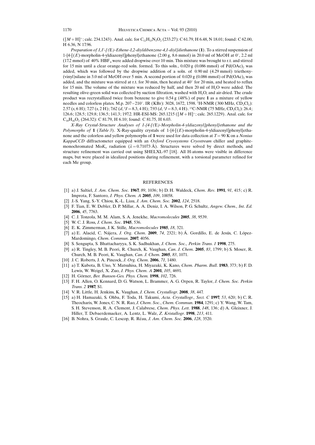$([M + H]^+$ ; calc. 234.1243). Anal. calc. for C<sub>12</sub>H<sub>15</sub>N<sub>3</sub>O<sub>2</sub> (233.27): C 61.79, H 6.48, N 18.01; found: C 62.00, H 6.36, N 17.96.

Preparation of 1,1'-[(E)-Ethene-1,2-diyldibenzene-4,1-diyl]diethanone (1). To a stirred suspension of 1-{4- $[(E)$ -morpholin-4-yldiazenyl]phenyl}ethanone (2.00 g, 8.6 mmol) in 20.0 ml of MeOH at 0°, 2.2 ml (17.2 mmol) of 40% HBF4 were added dropwise over 10 min. This mixture was brought to r.t. and stirred for 15 min until a clear orange-red soln. formed. To this soln.,  $0.020$  g ( $0.086$  mmol) of Pd( $OAc$ )<sub>2</sub> was added, which was followed by the dropwise addition of a soln. of 0.90 ml (4.29 mmol) triethoxy- (vinyl)silane in 3.0 ml of MeOH over 5 min. A second portion of  $0.020 \text{ g } (0.086 \text{ mmol})$  of Pd(OAc), was added, and the mixture was stirred at r.t. for 30 min, then heated at 40 $^{\circ}$  for 20 min, and heated to reflux for 15 min. The volume of the mixture was reduced by half, and then 20 ml of H2O were added. The resulting olive-green solid was collected by suction filtration, washed with  $H<sub>2</sub>O$ , and air-dried. The crude product was recrystallized twice from benzene to give 0.54 g (48%) of pure 1 as a mixture of yellow needles and colorless plates. M.p. 207 – 210°. IR (KBr): 3028, 1672, 1598. <sup>1</sup>H-NMR (300 MHz, CD<sub>2</sub>Cl<sub>2</sub>):  $2.57$  (s, 6 H); 7.27 (s, 2 H); 7.62 (d,  $3J = 8.3$ , 4 H); 7.93 (d,  $3J = 8.3$ , 4 H). <sup>13</sup>C-NMR (75 MHz, CD<sub>2</sub>Cl<sub>2</sub>): 26.4; 126.6; 128.5; 129.8; 136.5; 141.3; 197.2. HR-ESI-MS: 265.1215 ( $[M + H]$ <sup>+</sup>; calc. 265.1229). Anal. calc. for  $C_{18}H_{16}O_2$  (264.32): C 81.79, H 6.10; found: C 81.75, H 6.03.

X-Ray Crystal-Structure Analyses of 1-{4-[(E)-Morpholin-4-yldiazenyl]phenyl}ethanone and the Polymorphs of  $1$  (Table 3). X-Ray-quality crystals of  $1-4-[(E)$ -morpholin-4-yldiazenyl]phenyl]ethanone and the colorless and yellow polymorphs of 1 were used for data collection at  $T = 90$  K on a Nonius KappaCCD diffractometer equipped with an Oxford Cryosystems Cryostream chiller and graphitemonochromated Mo $K_a$  radiation ( $\lambda = 0.71073 \text{ Å}$ ). Structures were solved by direct methods, and structure refinement was carried out using SHELXL-97 [18]. All H-atoms were visible in difference maps, but were placed in idealized positions during refinement, with a torsional parameter refined for each Me group.

## **REFERENCES**

- [1] a) J. Saltiel, J. Am. Chem. Soc. 1967, 89, 1036; b) D. H. Waldeck, Chem. Rev. 1991, 91, 415; c) R. Improta, F. Santoro, J. Phys. Chem. A 2005, 109, 10058.
- [2] J.-S. Yang, S.-Y. Chiou, K.-L. Liau, J. Am. Chem. Soc. 2002, 124, 2518.
- [3] F. Tian, E. W. Debler, D. P. Millar, A. A. Deniz, I. A. Wilson, P. G. Schultz, Angew. Chem., Int. Ed. 2006, 45, 7763.
- [4] C. J. Tonzola, M. M. Alam, S. A. Jenekhe, Macromolecules 2005, 38, 9539.
- [5] W. C. J. Ross, J. Chem. Soc. 1945, 536.
- [6] E. K. Zimmerman, J. K. Stille, Macromolecules 1985, 18, 321.
- [7] a) E. Alacid, C. Nájera, J. Org. Chem. 2009, 74, 2321; b)  $\acute{A}$ . Gordillo, E. de Jesús, C. López-Mardomingo, Chem. Commun. 2007, 4056.
- [8] S. Sengupta, S. Bhattacharyya, S. K. Sadhukhan, J. Chem. Soc., Perkin Trans. 1 1998, 275.
- [9] a) R. Tingley, M. B. Peori, R. Church, K. Vaughan, Can. J. Chem. 2005, 83, 1799; b) S. Moser, R. Church, M. B. Peori, K. Vaughan, Can. J. Chem. 2005, 83, 1071.
- [10] J. C. Roberts, J. A. Pincock, J. Org. Chem. 2006, 71, 1480.
- [11] a) T. Kubota, B. Uno, Y. Matsuhisa, H. Miyazaki, K. Kano, Chem. Pharm. Bull. 1983, 373; b) F. D. Lewis, W. Weigel, X. Zuo, J. Phys. Chem. A 2001, 105, 4691.
- [12] H. Görner, Ber. Bunsen-Ges. Phys. Chem. 1998, 102, 726.
- [13] F. H. Allen, O. Kennard, D. G. Watson, L. Brammer, A. G. Orpen, R. Taylor, J. Chem. Soc. Perkin Trans. 2 1987, S1.
- [14] V. R. Little, H. Jenkins, K. Vaughan, J. Chem. Crystallogr. 2008, 38, 447.
- [15] a) H. Hamazaki, S. Ohba, F. Toda, H. Takumi, Acta. Crystallogr., Sect. C 1997, 53, 620; b) C. R. Theocharis, W. Jones, C. N. R. Rao, J. Chem. Soc., Chem. Commun. 1984, 1291; c) Y. Wang, W. Tam, S. H. Stevenson, R. A. Clement, J. Calabrese, Chem. Phys. Lett. 1988, 148, 136; d) A. Gleixner, J. Hiller, T. Debaerdemaeker, A. Lentz, L. Walz, Z. Kristallogr. 1998, 213, 411.
- [16] B. Nohra, S. Graule, C. Lescop, R. Réau, *J. Am. Chem. Soc.* **2006**, 128, 3520.